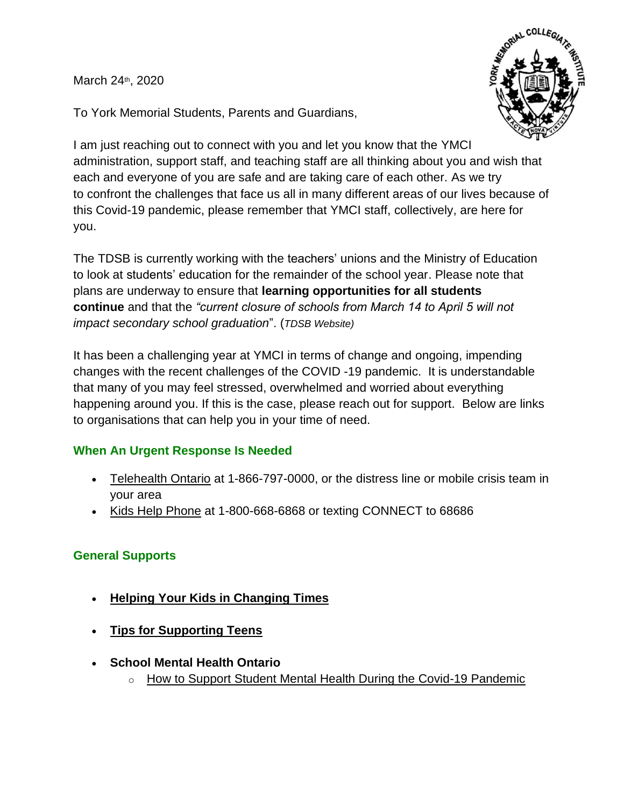March 24th, 2020



To York Memorial Students, Parents and Guardians,

I am just reaching out to connect with you and let you know that the YMCI administration, support staff, and teaching staff are all thinking about you and wish that each and everyone of you are safe and are taking care of each other. As we try to confront the challenges that face us all in many different areas of our lives because of this Covid-19 pandemic, please remember that YMCI staff, collectively, are here for you.

The TDSB is currently working with the teachers' unions and the Ministry of Education to look at students' education for the remainder of the school year. Please note that plans are underway to ensure that **learning opportunities for all students continue** and that the *"current closure of schools from March 14 to April 5 will not impact secondary school graduation*". (*TDSB Website)*

It has been a challenging year at YMCI in terms of change and ongoing, impending changes with the recent challenges of the COVID -19 pandemic. It is understandable that many of you may feel stressed, overwhelmed and worried about everything happening around you. If this is the case, please reach out for support. Below are links to organisations that can help you in your time of need.

# **When An Urgent Response Is Needed**

- [Telehealth Ontario](https://www.ontario.ca/page/get-medical-advice-telehealth-ontario) at 1-866-797-0000, or the distress line or mobile crisis team in your area
- [Kids Help Phone](https://kidshelpphone.ca/) at 1-800-668-6868 or texting CONNECT to 68686

#### **General Supports**

- **[Helping Your Kids in Changing Times](https://www.tdsb.on.ca/Portals/0/docs/PSS%20Parent%20Tips.docx)**
- **[Tips for Supporting Teens](https://www.tdsb.on.ca/Portals/0/docs/PSS%20Parent%20Tips%20for%20Teens.docx)**
- **School Mental Health Ontario**
	- o [How to Support Student Mental Health During the Covid-19 Pandemic](https://smho-smso.ca/blog/how-to-support-student-mental-health-during-the-covid-19-pandemic/)